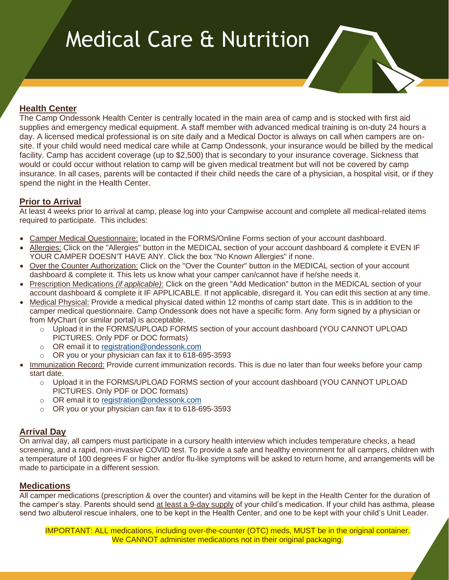# Medical Care & Nutrition

# **Health Center**

The Camp Ondessonk Health Center is centrally located in the main area of camp and is stocked with first aid supplies and emergency medical equipment. A staff member with advanced medical training is on-duty 24 hours a day. A licensed medical professional is on site daily and a Medical Doctor is always on call when campers are onsite. If your child would need medical care while at Camp Ondessonk, your insurance would be billed by the medical facility. Camp has accident coverage (up to \$2,500) that is secondary to your insurance coverage. Sickness that would or could occur without relation to camp will be given medical treatment but will not be covered by camp insurance. In all cases, parents will be contacted if their child needs the care of a physician, a hospital visit, or if they spend the night in the Health Center.

# **Prior to Arrival**

At least 4 weeks prior to arrival at camp, please log into your Campwise account and complete all medical-related items required to participate. This includes:

- Camper Medical Questionnaire: located in the FORMS/Online Forms section of your account dashboard.
- Allergies: Click on the "Allergies" button in the MEDICAL section of your account dashboard & complete it EVEN IF YOUR CAMPER DOESN'T HAVE ANY. Click the box "No Known Allergies" if none.
- Over the Counter Authorization: Click on the "Over the Counter" button in the MEDICAL section of your account dashboard & complete it. This lets us know what your camper can/cannot have if he/she needs it.
- Prescription Medications *(if applicable)*: Click on the green "Add Medication" button in the MEDICAL section of your account dashboard & complete it IF APPLICABLE. If not applicable, disregard it. You can edit this section at any time.
- Medical Physical: Provide a medical physical dated within 12 months of camp start date. This is in addition to the camper medical questionnaire. Camp Ondessonk does not have a specific form. Any form signed by a physician or from MyChart (or similar portal) is acceptable.
	- o Upload it in the FORMS/UPLOAD FORMS section of your account dashboard (YOU CANNOT UPLOAD PICTURES. Only PDF or DOC formats)
	- o OR email it to [registration@ondessonk.com](mailto:registration@ondessonk.com)
	- o OR you or your physician can fax it to 618-695-3593
- Immunization Record: Provide current immunization records. This is due no later than four weeks before your camp start date.
	- o Upload it in the FORMS/UPLOAD FORMS section of your account dashboard (YOU CANNOT UPLOAD PICTURES. Only PDF or DOC formats)
	- o OR email it to [registration@ondessonk.com](mailto:registration@ondessonk.com)
	- o OR you or your physician can fax it to 618-695-3593

## **Arrival Day**

On arrival day, all campers must participate in a cursory health interview which includes temperature checks, a head screening, and a rapid, non-invasive COVID test. To provide a safe and healthy environment for all campers, children with a temperature of 100 degrees F or higher and/or flu-like symptoms will be asked to return home, and arrangements will be made to participate in a different session.

#### **Medications**

All camper medications (prescription & over the counter) and vitamins will be kept in the Health Center for the duration of the camper's stay. Parents should send at least a 9-day supply of your child's medication. If your child has asthma, please send two albuterol rescue inhalers, one to be kept in the Health Center, and one to be kept with your child's Unit Leader.

IMPORTANT: ALL medications, including over-the-counter (OTC) meds, MUST be in the original container. We CANNOT administer medications not in their original packaging.